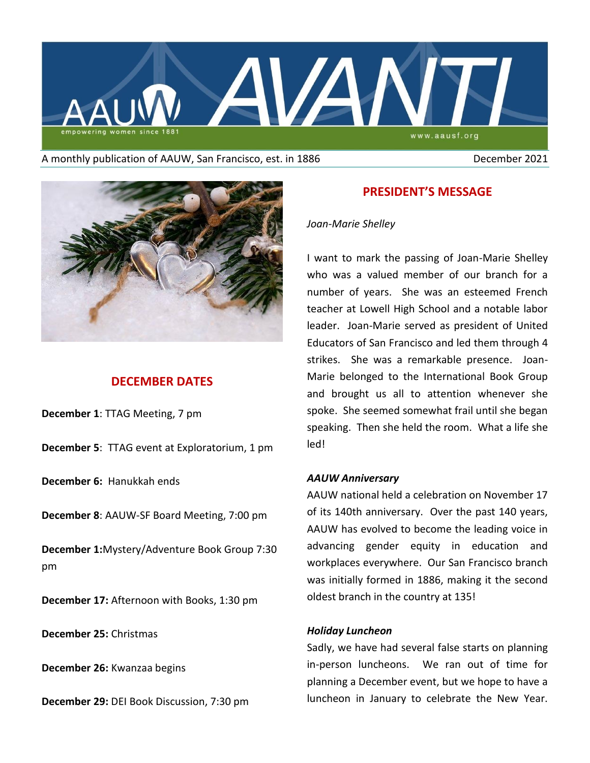

A monthly publication of AAUW, San Francisco, est. in 1886 December 2021



# **DECEMBER DATES**

**December 1**: TTAG Meeting, 7 pm

**December 5**: TTAG event at Exploratorium, 1 pm

**December 6:** Hanukkah ends

**December 8**: AAUW-SF Board Meeting, 7:00 pm

**December 1:**Mystery/Adventure Book Group 7:30 pm

**December 17:** Afternoon with Books, 1:30 pm

**December 25:** Christmas

**December 26:** Kwanzaa begins

**December 29:** DEI Book Discussion, 7:30 pm

# **PRESIDENT'S MESSAGE**

#### *Joan-Marie Shelley*

I want to mark the passing of Joan-Marie Shelley who was a valued member of our branch for a number of years. She was an esteemed French teacher at Lowell High School and a notable labor leader. Joan-Marie served as president of United Educators of San Francisco and led them through 4 strikes. She was a remarkable presence. Joan-Marie belonged to the International Book Group and brought us all to attention whenever she spoke. She seemed somewhat frail until she began speaking. Then she held the room. What a life she led!

#### *AAUW Anniversary*

AAUW national held a celebration on November 17 of its 140th anniversary. Over the past 140 years, AAUW has evolved to become the leading voice in advancing gender equity in education and workplaces everywhere. Our San Francisco branch was initially formed in 1886, making it the second oldest branch in the country at 135!

### *Holiday Luncheon*

Sadly, we have had several false starts on planning in-person luncheons. We ran out of time for planning a December event, but we hope to have a luncheon in January to celebrate the New Year.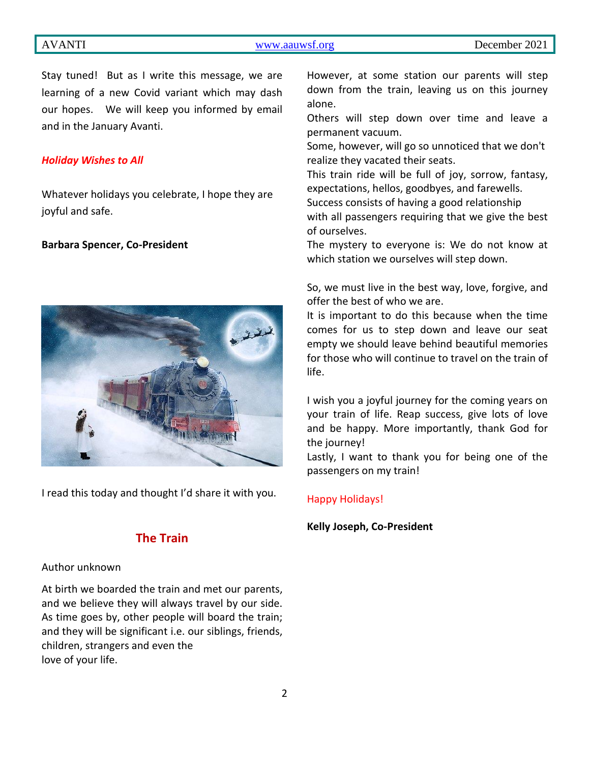Stay tuned! But as I write this message, we are learning of a new Covid variant which may dash our hopes. We will keep you informed by email and in the January Avanti.

#### *Holiday Wishes to All*

Whatever holidays you celebrate, I hope they are joyful and safe.

#### **Barbara Spencer, Co-President**



I read this today and thought I'd share it with you.

# **The Train**

#### Author unknown

At birth we boarded the train and met our parents, and we believe they will always travel by our side. As time goes by, other people will board the train; and they will be significant i.e. our siblings, friends, children, strangers and even the love of your life.

However, at some station our parents will step down from the train, leaving us on this journey alone.

Others will step down over time and leave a permanent vacuum.

Some, however, will go so unnoticed that we don't realize they vacated their seats.

This train ride will be full of joy, sorrow, fantasy, expectations, hellos, goodbyes, and farewells. Success consists of having a good relationship with all passengers requiring that we give the best of ourselves.

The mystery to everyone is: We do not know at which station we ourselves will step down.

So, we must live in the best way, love, forgive, and offer the best of who we are.

It is important to do this because when the time comes for us to step down and leave our seat empty we should leave behind beautiful memories for those who will continue to travel on the train of life.

I wish you a joyful journey for the coming years on your train of life. Reap success, give lots of love and be happy. More importantly, thank God for the journey!

Lastly, I want to thank you for being one of the passengers on my train!

#### Happy Holidays!

#### **Kelly Joseph, Co-President**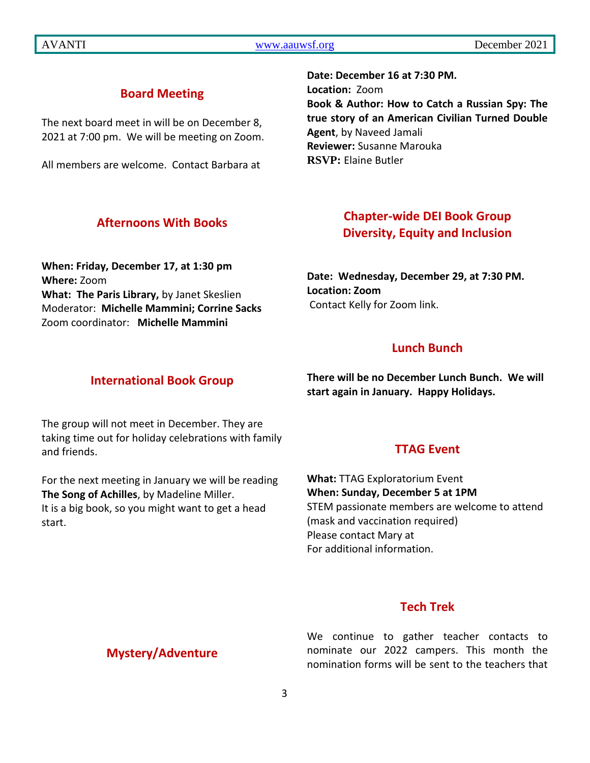**Where:** Zoom

#### **Board Meeting**

The next board meet in will be on December 8, 2021 at 7:00 pm. We will be meeting on Zoom.

All members are welcome. Contact Barbara at

**When: Friday, December 17, at 1:30 pm**

**What: The Paris Library,** by Janet Skeslien Moderator: **Michelle Mammini; Corrine Sacks**

Zoom coordinator: **Michelle Mammini**

### **Afternoons With Books**

# **Date: December 16 at 7:30 PM. Location:** Zoom **Book & Author: How to Catch a Russian Spy: The true story of an American Civilian Turned Double Agent**, by Naveed Jamali **Reviewer:** Susanne Marouka **RSVP:** Elaine Butler

**Chapter-wide DEI Book Group Diversity, Equity and Inclusion**

# **Date: Wednesday, December 29, at 7:30 PM. Location: Zoom** Contact Kelly for Zoom link.

# **Lunch Bunch**

**International Book Group**

The group will not meet in December. They are taking time out for holiday celebrations with family and friends.

For the next meeting in January we will be reading **The Song of Achilles**, by Madeline Miller. It is a big book, so you might want to get a head start.

**There will be no December Lunch Bunch. We will start again in January. Happy Holidays.**

#### **TTAG Event**

**What:** TTAG Exploratorium Event **When: Sunday, December 5 at 1PM** STEM passionate members are welcome to attend (mask and vaccination required) Please contact Mary at For additional information.

## **Tech Trek**

**Mystery/Adventure**

We continue to gather teacher contacts to nominate our 2022 campers. This month the nomination forms will be sent to the teachers that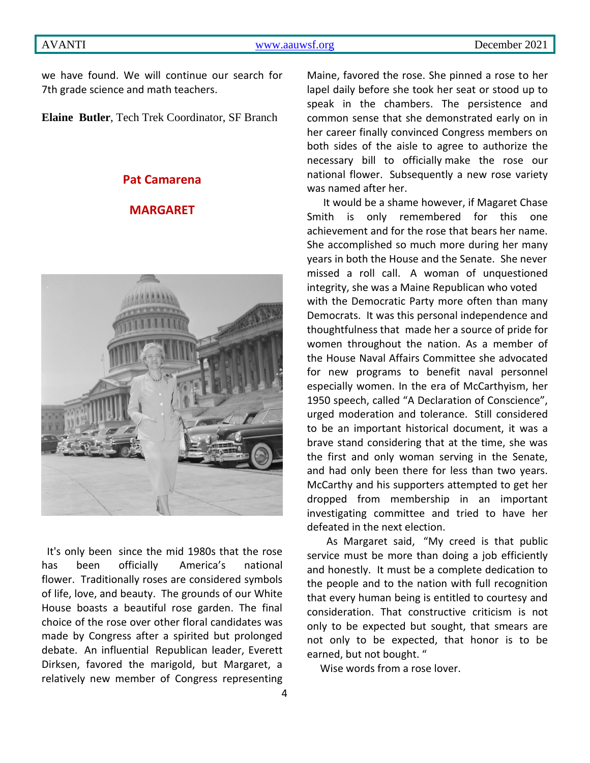we have found. We will continue our search for 7th grade science and math teachers.

**Elaine Butler**, Tech Trek Coordinator, SF Branch

#### **Pat Camarena**

# **MARGARET**



It's only been since the mid 1980s that the rose has been officially America's national flower. Traditionally roses are considered symbols of life, love, and beauty. The grounds of our White House boasts a beautiful rose garden. The final choice of the rose over other floral candidates was made by Congress after a spirited but prolonged debate. An influential Republican leader, Everett Dirksen, favored the marigold, but Margaret, a relatively new member of Congress representing Maine, favored the rose. She pinned a rose to her lapel daily before she took her seat or stood up to speak in the chambers. The persistence and common sense that she demonstrated early on in her career finally convinced Congress members on both sides of the aisle to agree to authorize the necessary bill to officially make the rose our national flower. Subsequently a new rose variety was named after her.

It would be a shame however, if Magaret Chase Smith is only remembered for this one achievement and for the rose that bears her name. She accomplished so much more during her many years in both the House and the Senate. She never missed a roll call. A woman of unquestioned integrity, she was a Maine Republican who voted with the Democratic Party more often than many Democrats. It was this personal independence and thoughtfulness that made her a source of pride for women throughout the nation. As a member of the House Naval Affairs Committee she advocated for new programs to benefit naval personnel especially women. In the era of McCarthyism, her 1950 speech, called "A Declaration of Conscience", urged moderation and tolerance. Still considered to be an important historical document, it was a brave stand considering that at the time, she was the first and only woman serving in the Senate, and had only been there for less than two years. McCarthy and his supporters attempted to get her dropped from membership in an important investigating committee and tried to have her defeated in the next election.

As Margaret said, "My creed is that public service must be more than doing a job efficiently and honestly. It must be a complete dedication to the people and to the nation with full recognition that every human being is entitled to courtesy and consideration. That constructive criticism is not only to be expected but sought, that smears are not only to be expected, that honor is to be earned, but not bought. "

Wise words from a rose lover.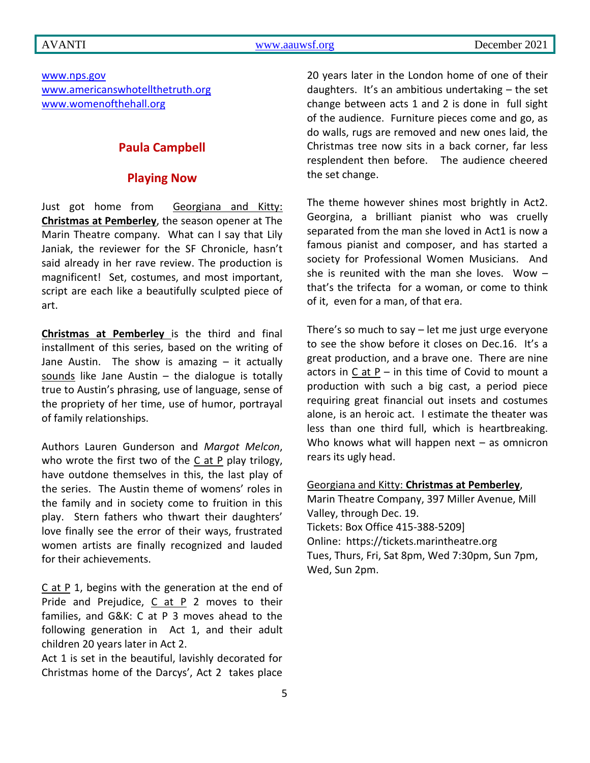[www.nps.gov](http://www.nps.gov/) [www.americanswhotellthetruth.org](http://www.americanswhotellthetruth.org/) [www.womenofthehall.org](http://www.womenofthehall.org/)

#### **Paula Campbell**

#### **Playing Now**

Just got home from Georgiana and Kitty: **Christmas at Pemberley**, the season opener at The Marin Theatre company. What can I say that Lily Janiak, the reviewer for the SF Chronicle, hasn't said already in her rave review. The production is magnificent! Set, costumes, and most important, script are each like a beautifully sculpted piece of art.

**Christmas at Pemberley** is the third and final installment of this series, based on the writing of Jane Austin. The show is amazing  $-$  it actually sounds like Jane Austin  $-$  the dialogue is totally true to Austin's phrasing, use of language, sense of the propriety of her time, use of humor, portrayal of family relationships.

Authors Lauren Gunderson and *Margot Melcon*, who wrote the first two of the  $C$  at  $P$  play trilogy, have outdone themselves in this, the last play of the series. The Austin theme of womens' roles in the family and in society come to fruition in this play. Stern fathers who thwart their daughters' love finally see the error of their ways, frustrated women artists are finally recognized and lauded for their achievements.

 $C$  at P 1, begins with the generation at the end of Pride and Prejudice, C at P 2 moves to their families, and G&K: C at P 3 moves ahead to the following generation in Act 1, and their adult children 20 years later in Act 2.

Act 1 is set in the beautiful, lavishly decorated for Christmas home of the Darcys', Act 2 takes place 20 years later in the London home of one of their daughters. It's an ambitious undertaking – the set change between acts 1 and 2 is done in full sight of the audience. Furniture pieces come and go, as do walls, rugs are removed and new ones laid, the Christmas tree now sits in a back corner, far less resplendent then before. The audience cheered the set change.

The theme however shines most brightly in Act2. Georgina, a brilliant pianist who was cruelly separated from the man she loved in Act1 is now a famous pianist and composer, and has started a society for Professional Women Musicians. And she is reunited with the man she loves. Wow – that's the trifecta for a woman, or come to think of it, even for a man, of that era.

There's so much to say – let me just urge everyone to see the show before it closes on Dec.16. It's a great production, and a brave one. There are nine actors in  $C$  at  $P - in$  this time of Covid to mount a production with such a big cast, a period piece requiring great financial out insets and costumes alone, is an heroic act. I estimate the theater was less than one third full, which is heartbreaking. Who knows what will happen next – as omnicron rears its ugly head.

#### Georgiana and Kitty: **Christmas at Pemberley**,

Marin Theatre Company, 397 Miller Avenue, Mill Valley, through Dec. 19. Tickets: Box Office 415-388-5209] Online: https://tickets.marintheatre.org Tues, Thurs, Fri, Sat 8pm, Wed 7:30pm, Sun 7pm, Wed, Sun 2pm.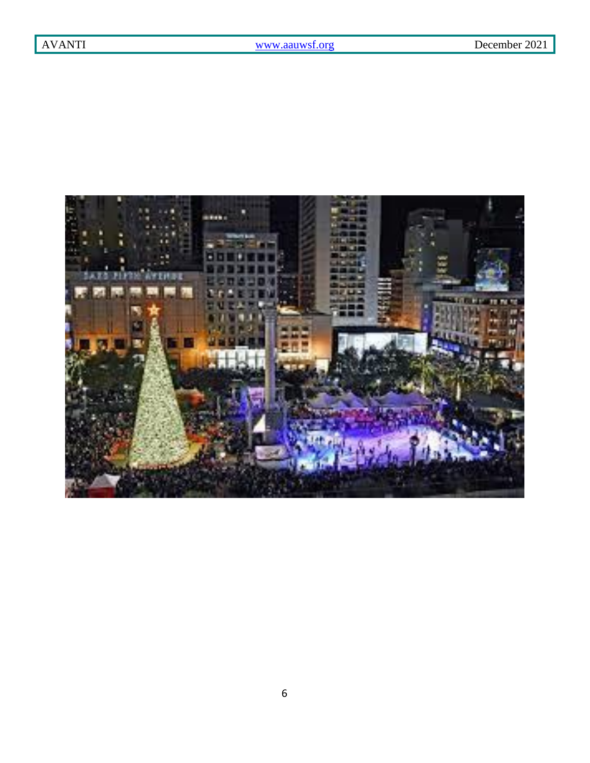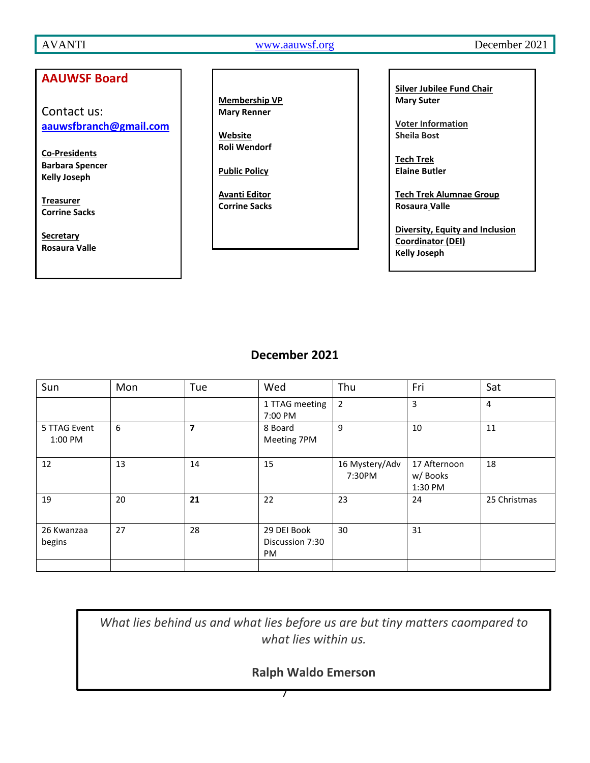# **AAUWSF Board**

Contact us: **[aauwsfbranch@gmail.com](file:///C:/Users/Corrine/Documents/Avanti/aauwsfbranch@gmail.com)**

**Co-Presidents Barbara Spencer Kelly Joseph**

**Treasurer Corrine Sacks**

**Secretary Rosaura Valle**

**Membership VP Mary Renner**

**Website Roli Wendorf**

**Public Policy**

**Avanti Editor Corrine Sacks** **Silver Jubilee Fund Chair Mary Suter**

**Voter Information Sheila Bost**

**Tech Trek Elaine Butler**

**Tech Trek Alumnae Group Rosaura Valle**

**Diversity, Equity and Inclusion Coordinator (DEI) Kelly Joseph**

# **December 2021**

| Sun                     | Mon | Tue                      | Wed                                  | Thu                      | Fri                                | Sat          |
|-------------------------|-----|--------------------------|--------------------------------------|--------------------------|------------------------------------|--------------|
|                         |     |                          | 1 TTAG meeting<br>7:00 PM            | 2                        | 3                                  | 4            |
| 5 TTAG Event<br>1:00 PM | 6   | $\overline{\phantom{a}}$ | 8 Board<br>Meeting 7PM               | 9                        | 10                                 | 11           |
| 12                      | 13  | 14                       | 15                                   | 16 Mystery/Adv<br>7:30PM | 17 Afternoon<br>w/Books<br>1:30 PM | 18           |
| 19                      | 20  | 21                       | 22                                   | 23                       | 24                                 | 25 Christmas |
| 26 Kwanzaa<br>begins    | 27  | 28                       | 29 DEI Book<br>Discussion 7:30<br>PM | 30                       | 31                                 |              |
|                         |     |                          |                                      |                          |                                    |              |

*What lies behind us and what lies before us are but tiny matters caompared to what lies within us.*

# **Ralph Waldo Emerson**

7